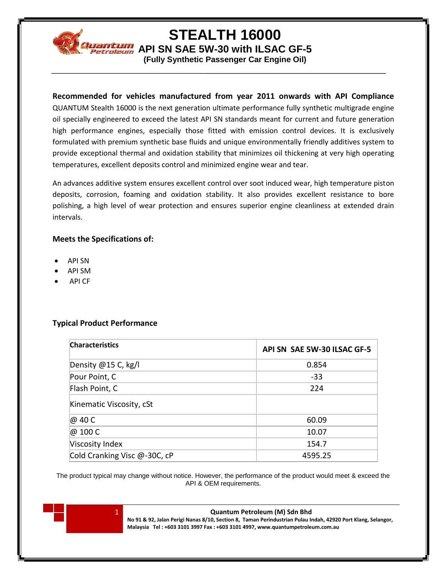

# **STEALTH 16000**

**Mantum** API SN SAE 5W-30 with ILSAC GF-5

**(Fully Synthetic Passenger Car Engine Oil)**

## **Recommended for vehicles manufactured from year 2011 onwards with API Compliance**

QUANTUM Stealth 16000 is the next generation ultimate performance fully synthetic multigrade engine oil specially engineered to exceed the latest API SN standards meant for current and future generation high performance engines, especially those fitted with emission control devices. It is exclusively formulated with premium synthetic base fluids and unique environmentally friendly additives system to provide exceptional thermal and oxidation stability that minimizes oil thickening at very high operating temperatures, excellent deposits control and minimized engine wear and tear.

An advances additive system ensures excellent control over soot induced wear, high temperature piston deposits, corrosion, foaming and oxidation stability. It also provides excellent resistance to bore polishing, a high level of wear protection and ensures superior engine cleanliness at extended drain intervals.

## **Meets the Specifications of:**

- API SN
- API SM
- API CF

## **Typical Product Performance**

| <b>Characteristics</b>       | API SN SAE 5W-30 ILSAC GF-5 |
|------------------------------|-----------------------------|
| Density @15 C, kg/l          | 0.854                       |
| Pour Point, C                | $-33$                       |
| Flash Point, C               | 224                         |
| Kinematic Viscosity, cSt     |                             |
| @ 40 C                       | 60.09                       |
| @ 100 C                      | 10.07                       |
| Viscosity Index              | 154.7                       |
| Cold Cranking Visc @-30C, cP | 4595.25                     |

The product typical may change without notice. However, the performance of the product would meet & exceed the API & OEM requirements.



#### 1 **Quantum Petroleum (M) Sdn Bhd**

**No 91 & 92, Jalan Perigi Nanas 8/10, Section 8, Taman Perindustrian Pulau Indah, 42920 Port Klang, Selangor, Malaysia Tel : +603 3101 3997 Fax : +603 3101 4997, www.quantumpetroleum.com.au**